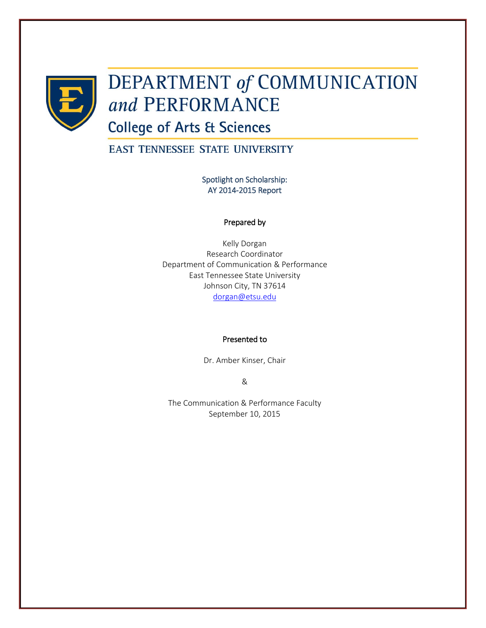

# **DEPARTMENT of COMMUNICATION** and PERFORMANCE

**College of Arts & Sciences** 

EAST TENNESSEE STATE UNIVERSITY

Spotlight on Scholarship: AY 2014-2015 Report

#### Prepared by

Kelly Dorgan Research Coordinator Department of Communication & Performance East Tennessee State University Johnson City, TN 37614 [dorgan@etsu.edu](mailto:dorgan@etsu.edu)

#### Presented to

Dr. Amber Kinser, Chair

&

The Communication & Performance Faculty September 10, 2015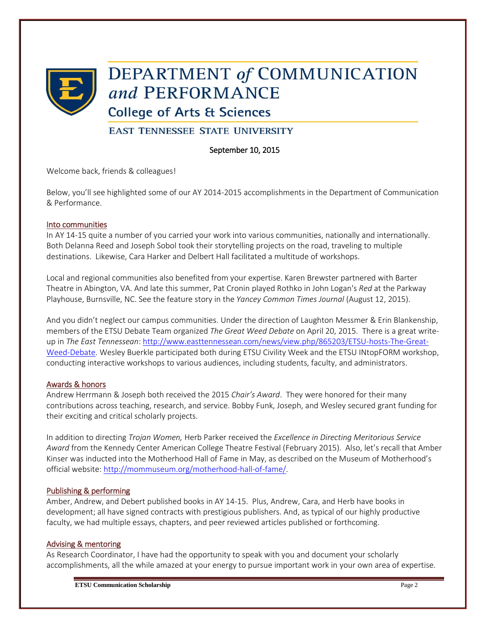

## **DEPARTMENT of COMMUNICATION** and PERFORMANCE

## **College of Arts & Sciences**

## **EAST TENNESSEE STATE UNIVERSITY**

## September 10, 2015

Welcome back, friends & colleagues!

Below, you'll see highlighted some of our AY 2014-2015 accomplishments in the Department of Communication & Performance.

#### Into communities

In AY 14-15 quite a number of you carried your work into various communities, nationally and internationally. Both Delanna Reed and Joseph Sobol took their storytelling projects on the road, traveling to multiple destinations. Likewise, Cara Harker and Delbert Hall facilitated a multitude of workshops.

Local and regional communities also benefited from your expertise. Karen Brewster partnered with Barter Theatre in Abington, VA. And late this summer, Pat Cronin played Rothko in John Logan's *Red* at the Parkway Playhouse, Burnsville, NC. See the feature story in the *Yancey Common Times Journal* (August 12, 2015).

And you didn't neglect our campus communities. Under the direction of Laughton Messmer & Erin Blankenship, members of the ETSU Debate Team organized *The Great Weed Debate* on April 20, 2015. There is a great writeup in *The East Tennessean*: [http://www.easttennessean.com/news/view.php/865203/ETSU-hosts-The-Great-](http://www.easttennessean.com/news/view.php/865203/ETSU-hosts-The-Great-Weed-Debate)[Weed-Debate.](http://www.easttennessean.com/news/view.php/865203/ETSU-hosts-The-Great-Weed-Debate) Wesley Buerkle participated both during ETSU Civility Week and the ETSU INtopFORM workshop, conducting interactive workshops to various audiences, including students, faculty, and administrators.

## Awards & honors

Andrew Herrmann & Joseph both received the 2015 *Chair's Award*. They were honored for their many contributions across teaching, research, and service. Bobby Funk, Joseph, and Wesley secured grant funding for their exciting and critical scholarly projects.

In addition to directing *Trojan Women,* Herb Parker received the *Excellence in Directing Meritorious Service Award* from the Kennedy Center American College Theatre Festival (February 2015). Also, let's recall that Amber Kinser was inducted into the Motherhood Hall of Fame in May, as described on the Museum of Motherhood's official website[: http://mommuseum.org/motherhood-hall-of-fame/.](http://mommuseum.org/motherhood-hall-of-fame/)

## Publishing & performing

Amber, Andrew, and Debert published books in AY 14-15. Plus, Andrew, Cara, and Herb have books in development; all have signed contracts with prestigious publishers. And, as typical of our highly productive faculty, we had multiple essays, chapters, and peer reviewed articles published or forthcoming.

#### Advising & mentoring

As Research Coordinator, I have had the opportunity to speak with you and document your scholarly accomplishments, all the while amazed at your energy to pursue important work in your own area of expertise.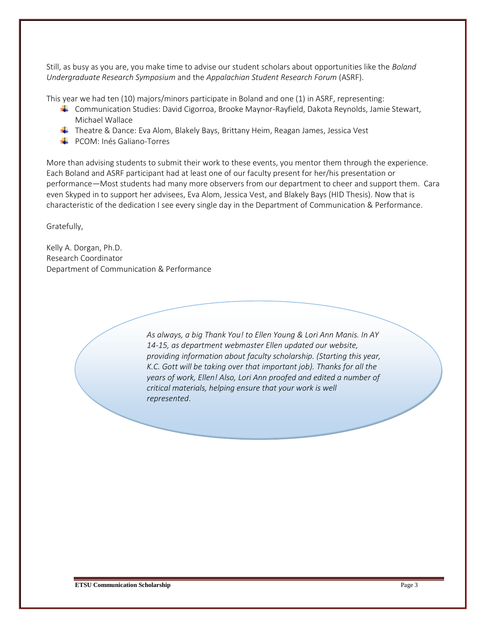Still, as busy as you are, you make time to advise our student scholars about opportunities like the *Boland Undergraduate Research Symposium* and the *Appalachian Student Research Forum* (ASRF).

This year we had ten (10) majors/minors participate in Boland and one (1) in ASRF, representing:

- Communication Studies: David Cigorroa, Brooke Maynor-Rayfield, Dakota Reynolds, Jamie Stewart, Michael Wallace
- Theatre & Dance: Eva Alom, Blakely Bays, Brittany Heim, Reagan James, Jessica Vest
- **E** PCOM: Inés Galiano-Torres

More than advising students to submit their work to these events, you mentor them through the experience. Each Boland and ASRF participant had at least one of our faculty present for her/his presentation or performance—Most students had many more observers from our department to cheer and support them. Cara even Skyped in to support her advisees, Eva Alom, Jessica Vest, and Blakely Bays (HID Thesis). Now that is characteristic of the dedication I see every single day in the Department of Communication & Performance.

Gratefully,

Kelly A. Dorgan, Ph.D. Research Coordinator Department of Communication & Performance

> *As always, a big Thank You! to Ellen Young & Lori Ann Manis. In AY 14-15, as department webmaster Ellen updated our website, providing information about faculty scholarship. (Starting this year, K.C. Gott will be taking over that important job). Thanks for all the years of work, Ellen! Also, Lori Ann proofed and edited a number of critical materials, helping ensure that your work is well represented*.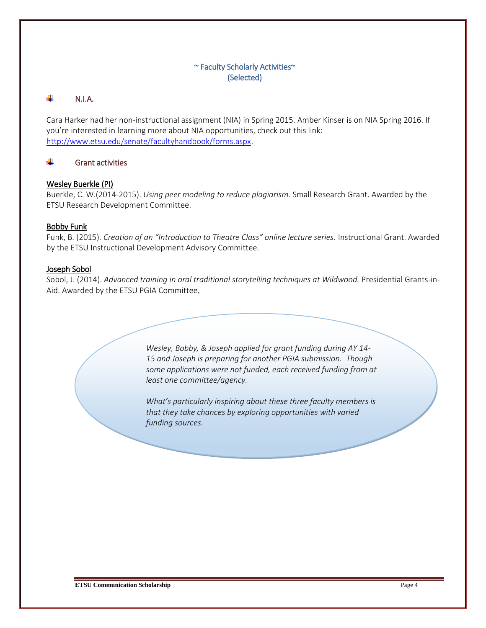## ~ Faculty Scholarly Activities~ (Selected)

#### ÷. N.I.A.

Cara Harker had her non-instructional assignment (NIA) in Spring 2015. Amber Kinser is on NIA Spring 2016. If you're interested in learning more about NIA opportunities, check out this link: [http://www.etsu.edu/senate/facultyhandbook/forms.aspx.](http://www.etsu.edu/senate/facultyhandbook/forms.aspx)

#### Grant activities ÷

#### Wesley Buerkle (PI)

Buerkle, C. W.(2014-2015). *Using peer modeling to reduce plagiarism.* Small Research Grant. Awarded by the ETSU Research Development Committee.

#### Bobby Funk

Funk, B. (2015). *Creation of an "Introduction to Theatre Class" online lecture series.* Instructional Grant. Awarded by the ETSU Instructional Development Advisory Committee.

#### Joseph Sobol

Sobol, J. (2014). *Advanced training in oral traditional storytelling techniques at Wildwood.* Presidential Grants-in-Aid. Awarded by the ETSU PGIA Committee.

> *Wesley, Bobby, & Joseph applied for grant funding during AY 14- 15 and Joseph is preparing for another PGIA submission. Though some applications were not funded, each received funding from at least one committee/agency.*

> *What's particularly inspiring about these three faculty members is that they take chances by exploring opportunities with varied funding sources.*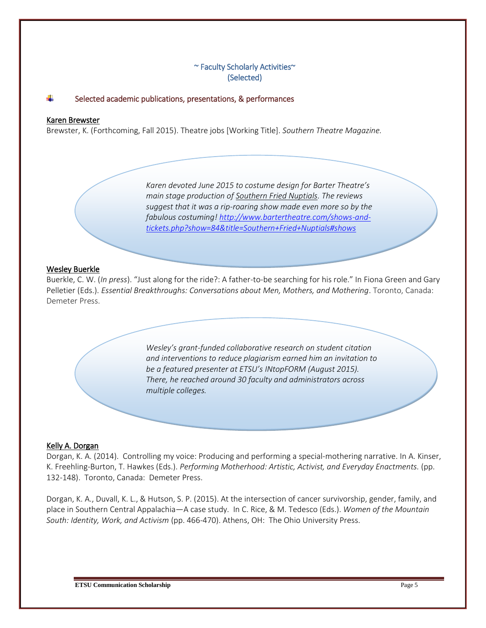### ~ Faculty Scholarly Activities~ (Selected)

#### Selected academic publications, presentations, & performances

#### Karen Brewster

Brewster, K. (Forthcoming, Fall 2015). Theatre jobs [Working Title]. *Southern Theatre Magazine.*

*Karen devoted June 2015 to costume design for Barter Theatre's main stage production of Southern Fried Nuptials. The reviews suggest that it was a rip-roaring show made even more so by the fabulous costuming! [http://www.bartertheatre.com/shows-and](http://www.bartertheatre.com/shows-and-tickets.php?show=84&title=Southern+Fried+Nuptials#shows)[tickets.php?show=84&title=Southern+Fried+Nuptials#shows](http://www.bartertheatre.com/shows-and-tickets.php?show=84&title=Southern+Fried+Nuptials#shows)*

#### Wesley Buerkle

Buerkle, C. W. (*In press*). "Just along for the ride?: A father-to-be searching for his role." In Fiona Green and Gary Pelletier (Eds.). *Essential Breakthroughs: Conversations about Men, Mothers, and Mothering*. Toronto, Canada: Demeter Press.

> *Wesley's grant-funded collaborative research on student citation and interventions to reduce plagiarism earned him an invitation to be a featured presenter at ETSU's INtopFORM (August 2015). There, he reached around 30 faculty and administrators across multiple colleges.*

#### Kelly A. Dorgan

Dorgan, K. A. (2014). Controlling my voice: Producing and performing a special-mothering narrative. In A. Kinser, K. Freehling-Burton, T. Hawkes (Eds.). *Performing Motherhood: Artistic, Activist, and Everyday Enactments.* (pp. 132-148). Toronto, Canada: Demeter Press.

Dorgan, K. A., Duvall, K. L., & Hutson, S. P. (2015). At the intersection of cancer survivorship, gender, family, and place in Southern Central Appalachia—A case study. In C. Rice, & M. Tedesco (Eds.). *Women of the Mountain South: Identity, Work, and Activism* (pp. 466-470). Athens, OH: The Ohio University Press.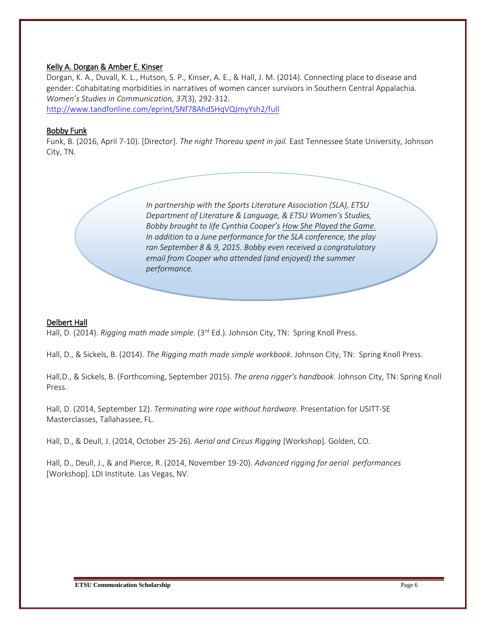#### Kelly A. Dorgan & Amber E. Kinser

Dorgan, K. A., Duvall, K. L., Hutson, S. P., Kinser, A. E., & Hall, J. M. (2014)*.* Connecting place to disease and gender: Cohabitating morbidities in narratives of women cancer survivors in Southern Central Appalachia. *Women's Studies in Communication, 37*(3), 292-312.

<http://www.tandfonline.com/eprint/SNf78AhdSHqVQJmyYsh2/full>

#### Bobby Funk

Funk, B. (2016, April 7-10). [Director]. *The night Thoreau spent in jail.* East Tennessee State University, Johnson City, TN.

> *In partnership with the Sports Literature Association (SLA), ETSU Department of Literature & Language, & ETSU Women's Studies, Bobby brought to life Cynthia Cooper's How She Played the Game. In addition to a June performance for the SLA conference, the play ran September 8 & 9, 2015. Bobby even received a congratulatory email from Cooper who attended (and enjoyed) the summer performance.*

#### Delbert Hall

Hall, D. (2014). *Rigging math made simple.* (3<sup>rd</sup> Ed.). Johnson City, TN: Spring Knoll Press.

Hall, D., & Sickels, B. (2014). *The Rigging math made simple workbook*. Johnson City, TN: Spring Knoll Press.

Hall,D., & Sickels, B. (Forthcoming, September 2015). *The arena rigger's handbook.* Johnson City, TN: Spring Knoll Press.

Hall, D. (2014, September 12). *Terminating wire rope without hardware.* Presentation for USITT-SE Masterclasses, Tallahassee, FL.

Hall, D., & Deull, J. (2014, October 25-26). *Aerial and Circus Rigging* [Workshop]*.* Golden, CO.

Hall, D., Deull, J., & and Pierce, R. (2014, November 19-20). *Advanced rigging for aerial performances*  [Workshop]. LDI Institute*.* Las Vegas, NV.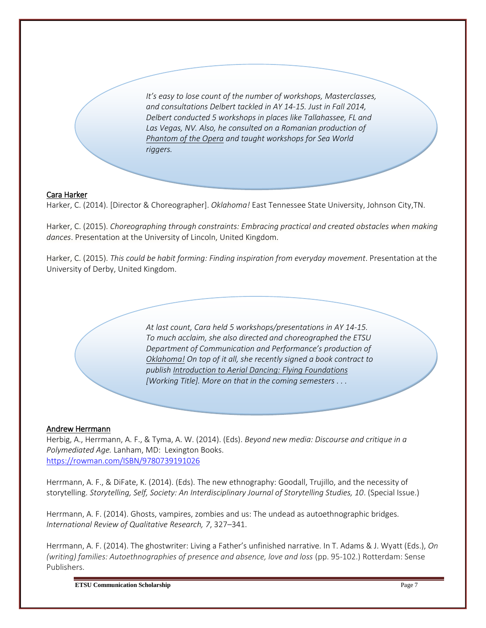*It's easy to lose count of the number of workshops, Masterclasses, and consultations Delbert tackled in AY 14-15. Just in Fall 2014, Delbert conducted 5 workshops in places like Tallahassee, FL and Las Vegas, NV. Also, he consulted on a Romanian production of Phantom of the Opera and taught workshops for Sea World riggers.*

#### Cara Harker

Harker, C. (2014). [Director & Choreographer]. *Oklahoma!* East Tennessee State University, Johnson City,TN.

Harker, C. (2015). *Choreographing through constraints: Embracing practical and created obstacles when making dances*. Presentation at the University of Lincoln, United Kingdom.

Harker, C. (2015). *This could be habit forming: Finding inspiration from everyday movement*. Presentation at the University of Derby, United Kingdom.

> *At last count, Cara held 5 workshops/presentations in AY 14-15. To much acclaim, she also directed and choreographed the ETSU Department of Communication and Performance's production of Oklahoma! On top of it all, she recently signed a book contract to publish Introduction to Aerial Dancing: Flying Foundations [Working Title]. More on that in the coming semesters . . .*

#### Andrew Herrmann

Herbig, A., Herrmann, A. F., & Tyma, A. W. (2014). (Eds). *Beyond new media: Discourse and critique in a Polymediated Age.* Lanham, MD: Lexington Books. <https://rowman.com/ISBN/9780739191026>

Herrmann, A. F., & DiFate, K. (2014). (Eds). The new ethnography: Goodall, Trujillo, and the necessity of storytelling. *Storytelling, Self, Society: An Interdisciplinary Journal of Storytelling Studies, 10*. (Special Issue.)

Herrmann, A. F. (2014). Ghosts, vampires, zombies and us: The undead as [autoethnographic](https://webmail.etsu.edu/owa/redir.aspx?C=D4SVmYLBO0u1cFaNlujC95MKpvnIkdEIS-vfmlzhYi0wIJNWqV5PsHBXTvVWvDGSalAy1gJZFls.&URL=https%3a%2f%2fwww.linkedin.com%2fredir%2fredirect%3furl%3dhttp%253A%252F%252Fwww%252Ejstor%252Eorg%252Faction%252FshowPublication%253FjournalCode%253Dintrevquares%26urlhash%3d0OT9%26trk%3dprof-publication-title-link) bridges. *International Review of Qualitative Research, 7*, 327–341.

Herrmann, A. F. (2014). The ghostwriter: Living a Father's unfinished narrative. In T. Adams & J. Wyatt (Eds.), *On (writing) families: Autoethnographies of presence and absence, love and loss* (pp. 95-102.) Rotterdam: Sense Publishers.

**ETSU Communication Scholarship** Page 7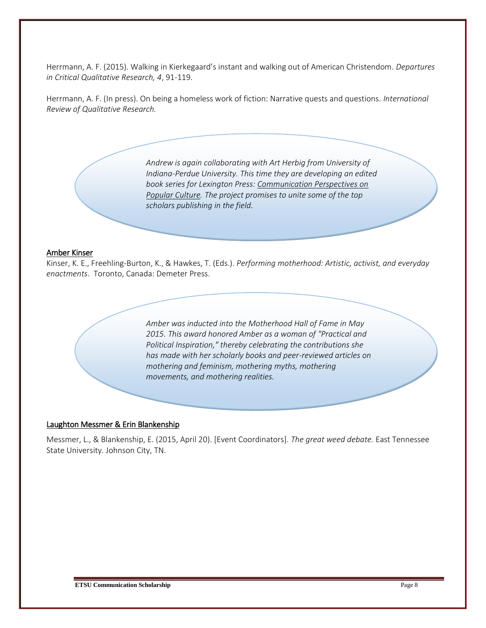Herrmann, A. F. (2015). Walking in Kierkegaard's instant and walking out of American Christendom. *Departures in Critical Qualitative Research, 4*, 91-119.

Herrmann, A. F. (In press). On being a homeless work of fiction: Narrative quests and questions. *International Review of Qualitative Research.*

> *Andrew is again collaborating with Art Herbig from University of Indiana-Perdue University. This time they are developing an edited book series for Lexington Press: Communication Perspectives on Popular Culture. The project promises to unite some of the top scholars publishing in the field.*

#### Amber Kinser

Kinser, K. E., Freehling-Burton, K., & Hawkes, T. (Eds.). *Performing motherhood: Artistic, activist, and everyday enactments*. Toronto, Canada: Demeter Press.

> *Amber was inducted into the Motherhood Hall of Fame in May 2015. This award honored Amber as a woman of "Practical and Political Inspiration," thereby celebrating the contributions she has made with her scholarly books and peer-reviewed articles on mothering and feminism, mothering myths, mothering movements, and mothering realities.*

#### Laughton Messmer & Erin Blankenship

Messmer, L., & Blankenship, E. (2015, April 20). [Event Coordinators]. *The great weed debate.* East Tennessee State University. Johnson City, TN.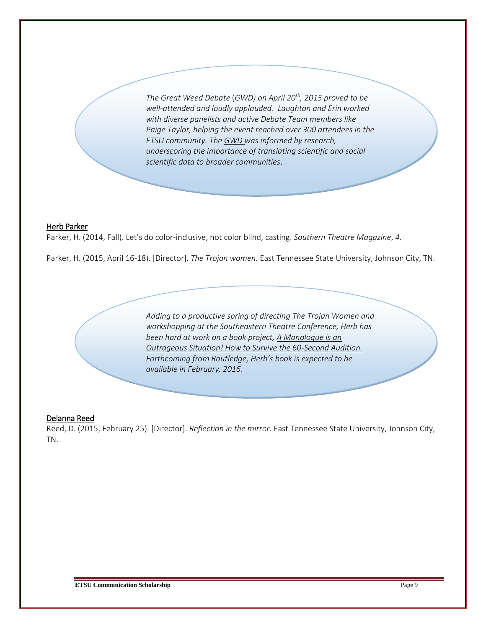*The Great Weed Debate* (*GWD) on April 20th, 2015 proved to be well-attended and loudly applauded. Laughton and Erin worked with diverse panelists and active Debate Team members like Paige Taylor, helping the event reached over 300 attendees in the ETSU community. The GWD was informed by research, underscoring the importance of translating scientific and social scientific data to broader communities.*

#### Herb Parker

Parker, H. (2014, Fall). Let's do color-inclusive, not color blind, casting. *Southern Theatre Magazine*, *4.* 

Parker, H. (2015, April 16-18). [Director]. *The Trojan women*. East Tennessee State University, Johnson City, TN.

*Adding to a productive spring of directing The Trojan Women and workshopping at the Southeastern Theatre Conference, Herb has been hard at work on a book project, A Monologue is an Outrageous Situation! How to Survive the 60-Second Audition. Forthcoming from Routledge, Herb's book is expected to be available in February, 2016.*

#### Delanna Reed

Reed, D. (2015, February 25). [Director]. *Reflection in the mirror*. East Tennessee State University, Johnson City, TN.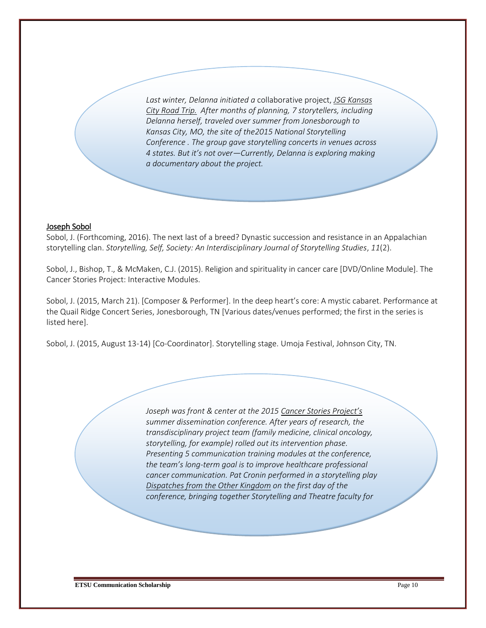*Last winter, Delanna initiated a* collaborative project, *JSG Kansas City Road Trip. After months of planning, 7 storytellers, including Delanna herself, traveled over summer from Jonesborough to Kansas City, MO, the site of the2015 National Storytelling Conference . The group gave storytelling concerts in venues across 4 states. But it's not over—Currently, Delanna is exploring making a documentary about the project.*

#### Joseph Sobol

Sobol, J. (Forthcoming, 2016). The next last of a breed? Dynastic succession and resistance in an Appalachian storytelling clan. *Storytelling, Self, Society: An Interdisciplinary Journal of Storytelling Studies*, *11*(2).

Sobol, J., Bishop, T., & McMaken, C.J. (2015). Religion and spirituality in cancer care [DVD/Online Module]. The Cancer Stories Project: Interactive Modules.

Sobol, J. (2015, March 21). [Composer & Performer]. In the deep heart's core: A mystic cabaret. Performance at the Quail Ridge Concert Series, Jonesborough, TN [Various dates/venues performed; the first in the series is listed here].

Sobol, J. (2015, August 13-14) [Co-Coordinator]. Storytelling stage. Umoja Festival, Johnson City, TN.

*Joseph was front & center at the 2015 Cancer Stories Project's summer dissemination conference. After years of research, the transdisciplinary project team (family medicine, clinical oncology, storytelling, for example) rolled out its intervention phase. Presenting 5 communication training modules at the conference, the team's long-term goal is to improve healthcare professional cancer communication. Pat Cronin performed in a storytelling play Dispatches from the Other Kingdom on the first day of the conference, bringing together Storytelling and Theatre faculty for*